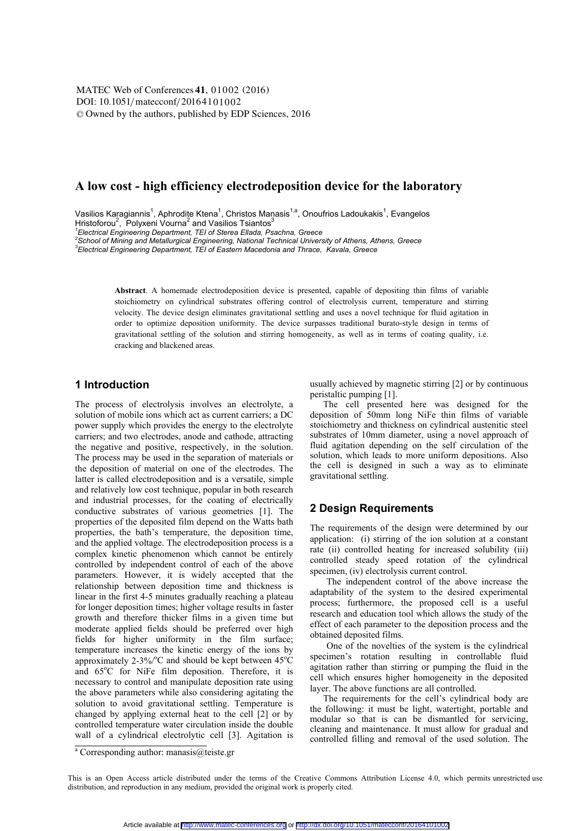DOI: 10.1051/matecconf/20164101002 -<sup>C</sup> Owned by the authors, published by EDP Sciences, 201 6 MATEC Web of Conferences 41, 01002 (2016)

## **A low cost - high efficiency electrodeposition device for the laboratory**

Vasilios Karagiannis $^1$ , Aphrodite Ktena $^1$ , Christos Manasis $^{1,a}$ , Onoufrios Ladoukakis $^1$ , Evangelos Hristoforou $^2$ , Polyxeni Vourna $^2$  and Vasilios Tsiantos $^3$ 

*1 Electrical Engineering Department, TEI of Sterea Ellada, Psachna, Greece* 

*2 School of Mining and Metallurgical Engineering, National Technical University of Athens, Athens, Greece* 

*3 Electrical Engineering Department, TEI of Eastern Macedonia and Thrace, Kavala, Greece* 

**Abstract**. A homemade electrodeposition device is presented, capable of depositing thin films of variable stoichiometry on cylindrical substrates offering control of electrolysis current, temperature and stirring velocity. The device design eliminates gravitational settling and uses a novel technique for fluid agitation in order to optimize deposition uniformity. The device surpasses traditional burato-style design in terms of gravitational settling of the solution and stirring homogeneity, as well as in terms of coating quality, i.e. cracking and blackened areas.

## **1 Introduction**

The process of electrolysis involves an electrolyte, a solution of mobile ions which act as current carriers; a DC power supply which provides the energy to the electrolyte carriers; and two electrodes, anode and cathode, attracting the negative and positive, respectively, in the solution. The process may be used in the separation of materials or the deposition of material on one of the electrodes. The latter is called electrodeposition and is a versatile, simple and relatively low cost technique, popular in both research and industrial processes, for the coating of electrically conductive substrates of various geometries [1]. The properties of the deposited film depend on the Watts bath properties, the bath's temperature, the deposition time, and the applied voltage. The electrodeposition process is a complex kinetic phenomenon which cannot be entirely controlled by independent control of each of the above parameters. However, it is widely accepted that the relationship between deposition time and thickness is linear in the first 4-5 minutes gradually reaching a plateau for longer deposition times; higher voltage results in faster growth and therefore thicker films in a given time but moderate applied fields should be preferred over high fields for higher uniformity in the film surface; temperature increases the kinetic energy of the ions by approximately 2-3%/ $\rm ^{o}C$  and should be kept between 45 $\rm ^{o}C$ and 65°C for NiFe film deposition. Therefore, it is necessary to control and manipulate deposition rate using the above parameters while also considering agitating the solution to avoid gravitational settling. Temperature is changed by applying external heat to the cell [2] or by controlled temperature water circulation inside the double wall of a cylindrical electrolytic cell [3]. Agitation is

usually achieved by magnetic stirring [2] or by continuous peristaltic pumping [1].

The cell presented here was designed for the deposition of 50mm long NiFe thin films of variable stoichiometry and thickness on cylindrical austenitic steel substrates of 10mm diameter, using a novel approach of fluid agitation depending on the self circulation of the solution, which leads to more uniform depositions. Also the cell is designed in such a way as to eliminate gravitational settling.

# **2 Design Requirements**

The requirements of the design were determined by our application: (i) stirring of the ion solution at a constant rate (ii) controlled heating for increased solubility (iii) controlled steady speed rotation of the cylindrical specimen, (iv) electrolysis current control.

The independent control of the above increase the adaptability of the system to the desired experimental process; furthermore, the proposed cell is a useful research and education tool which allows the study of the effect of each parameter to the deposition process and the obtained deposited films.

One of the novelties of the system is the cylindrical specimen's rotation resulting in controllable fluid agitation rather than stirring or pumping the fluid in the cell which ensures higher homogeneity in the deposited layer. The above functions are all controlled.

The requirements for the cell's cylindrical body are the following: it must be light, watertight, portable and modular so that is can be dismantled for servicing, cleaning and maintenance. It must allow for gradual and controlled filling and removal of the used solution. The

<sup>&</sup>lt;sup>a</sup> Corresponding author: manasis@teiste.gr

This is an Open Access article distributed under the terms of the Creative Commons Attribution License 4.0, which permits unrestricted use distribution, and reproduction in any medium, provided the original work is properly cited.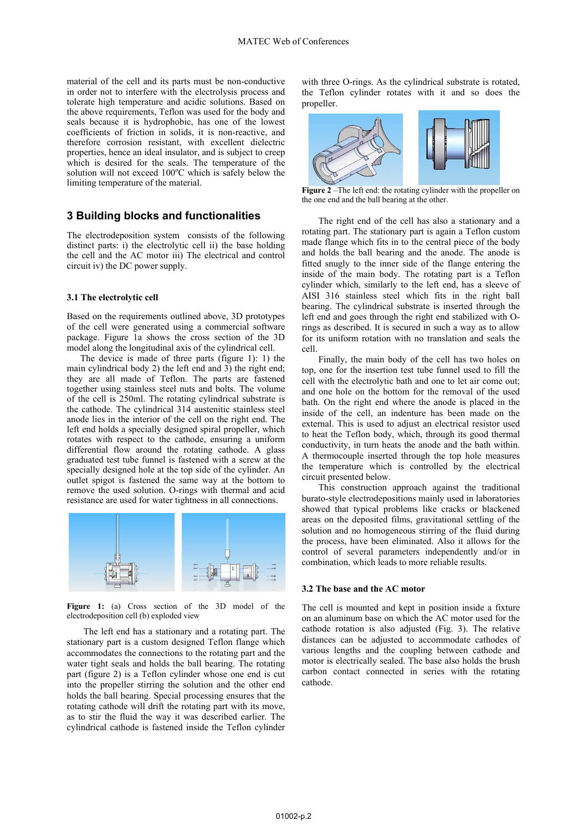material of the cell and its parts must be non-conductive in order not to interfere with the electrolysis process and tolerate high temperature and acidic solutions. Based on the above requirements, Teflon was used for the body and seals because it is hydrophobic, has one of the lowest coefficients of friction in solids, it is non-reactive, and therefore corrosion resistant, with excellent dielectric properties, hence an ideal insulator, and is subject to creep which is desired for the seals. The temperature of the solution will not exceed  $100^{\circ}$ C which is safely below the limiting temperature of the material.

### **3 Building blocks and functionalities**

The electrodeposition system consists of the following distinct parts: i) the electrolytic cell ii) the base holding the cell and the AC motor iii) The electrical and control circuit iv) the DC power supply.

### **3.1 The electrolytic cell**

Based on the requirements outlined above, 3D prototypes of the cell were generated using a commercial software package. Figure 1a shows the cross section of the 3D model along the longitudinal axis of the cylindrical cell.

The device is made of three parts (figure 1): 1) the main cylindrical body 2) the left end and 3) the right end; they are all made of Teflon. The parts are fastened together using stainless steel nuts and bolts. The volume of the cell is 250ml. The rotating cylindrical substrate is the cathode. The cylindrical 314 austenitic stainless steel anode lies in the interior of the cell on the right end. The left end holds a specially designed spiral propeller, which rotates with respect to the cathode, ensuring a uniform differential flow around the rotating cathode. A glass graduated test tube funnel is fastened with a screw at the specially designed hole at the top side of the cylinder. An outlet spigot is fastened the same way at the bottom to remove the used solution. O-rings with thermal and acid resistance are used for water tightness in all connections.



**Figure 1:** (a) Cross section of the 3D model of the electrodeposition cell (b) exploded view

The left end has a stationary and a rotating part. The stationary part is a custom designed Teflon flange which accommodates the connections to the rotating part and the water tight seals and holds the ball bearing. The rotating part (figure 2) is a Teflon cylinder whose one end is cut into the propeller stirring the solution and the other end holds the ball bearing. Special processing ensures that the rotating cathode will drift the rotating part with its move, as to stir the fluid the way it was described earlier. The cylindrical cathode is fastened inside the Teflon cylinder with three O-rings. As the cylindrical substrate is rotated, the Teflon cylinder rotates with it and so does the propeller.



**Figure 2** –The left end: the rotating cylinder with the propeller on the one end and the ball bearing at the other.

The right end of the cell has also a stationary and a rotating part. The stationary part is again a Teflon custom made flange which fits in to the central piece of the body and holds the ball bearing and the anode. The anode is fitted snugly to the inner side of the flange entering the inside of the main body. The rotating part is a Teflon cylinder which, similarly to the left end, has a sleeve of AISI 316 stainless steel which fits in the right ball bearing. The cylindrical substrate is inserted through the left end and goes through the right end stabilized with Orings as described. It is secured in such a way as to allow for its uniform rotation with no translation and seals the cell.

Finally, the main body of the cell has two holes on top, one for the insertion test tube funnel used to fill the cell with the electrolytic bath and one to let air come out; and one hole on the bottom for the removal of the used bath. On the right end where the anode is placed in the inside of the cell, an indenture has been made on the external. This is used to adjust an electrical resistor used to heat the Teflon body, which, through its good thermal conductivity, in turn heats the anode and the bath within. A thermocouple inserted through the top hole measures the temperature which is controlled by the electrical circuit presented below.

This construction approach against the traditional burato-style electrodepositions mainly used in laboratories showed that typical problems like cracks or blackened areas on the deposited films, gravitational settling of the solution and no homogeneous stirring of the fluid during the process, have been eliminated. Also it allows for the control of several parameters independently and/or in combination, which leads to more reliable results.

### **3.2 The base and the AC motor**

The cell is mounted and kept in position inside a fixture on an aluminum base on which the AC motor used for the cathode rotation is also adjusted (Fig. 3). The relative distances can be adjusted to accommodate cathodes of various lengths and the coupling between cathode and motor is electrically sealed. The base also holds the brush carbon contact connected in series with the rotating cathode.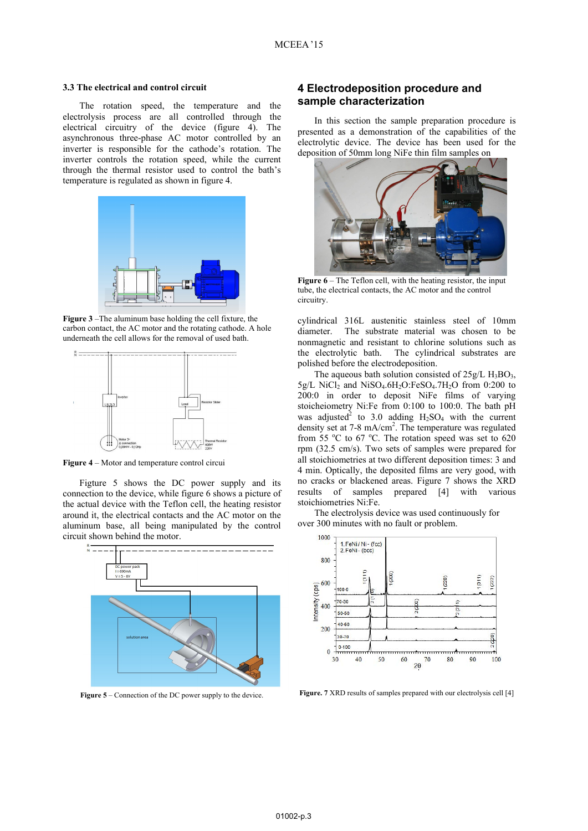#### **3.3 The electrical and control circuit**

The rotation speed, the temperature and the electrolysis process are all controlled through the electrical circuitry of the device (figure 4). The asynchronous three-phase AC motor controlled by an inverter is responsible for the cathode's rotation. The inverter controls the rotation speed, while the current through the thermal resistor used to control the bath's temperature is regulated as shown in figure 4.



**Figure 3** –The aluminum base holding the cell fixture, the carbon contact, the AC motor and the rotating cathode. A hole underneath the cell allows for the removal of used bath.



**Figure 4** – Motor and temperature control circui

Figture 5 shows the DC power supply and its connection to the device, while figure 6 shows a picture of the actual device with the Teflon cell, the heating resistor around it, the electrical contacts and the AC motor on the aluminum base, all being manipulated by the control circuit shown behind the motor.



Figure 5 – Connection of the DC power supply to the device.

### **4 Electrodeposition procedure and sample characterization**

In this section the sample preparation procedure is presented as a demonstration of the capabilities of the electrolytic device. The device has been used for the deposition of 50mm long NiFe thin film samples on



**Figure 6** – The Teflon cell, with the heating resistor, the input tube, the electrical contacts, the AC motor and the control circuitry.

cylindrical 316L austenitic stainless steel of 10mm diameter. The substrate material was chosen to be nonmagnetic and resistant to chlorine solutions such as the electrolytic bath. The cylindrical substrates are polished before the electrodeposition.

The aqueous bath solution consisted of  $25g/L H_3BO_3$ ,  $5g/L$  NiCl<sub>2</sub> and NiSO<sub>4</sub>.6H<sub>2</sub>O:FeSO<sub>4</sub>.7H<sub>2</sub>O from 0:200 to 200:0 in order to deposit NiFe films of varying stoicheiometry Ni:Fe from 0:100 to 100:0. The bath pH was adjusted<sup>2</sup> to 3.0 adding  $H_2SO_4$  with the current density set at 7-8 mA/cm<sup>2</sup>. The temperature was regulated from 55  $\degree$ C to 67  $\degree$ C. The rotation speed was set to 620 rpm (32.5 cm/s). Two sets of samples were prepared for all stoichiometries at two different deposition times: 3 and 4 min. Optically, the deposited films are very good, with no cracks or blackened areas. Figure 7 shows the XRD results of samples prepared [4] with various stoichiometries Ni:Fe.

The electrolysis device was used continuously for over 300 minutes with no fault or problem.



**Figure. 7** XRD results of samples prepared with our electrolysis cell [4]